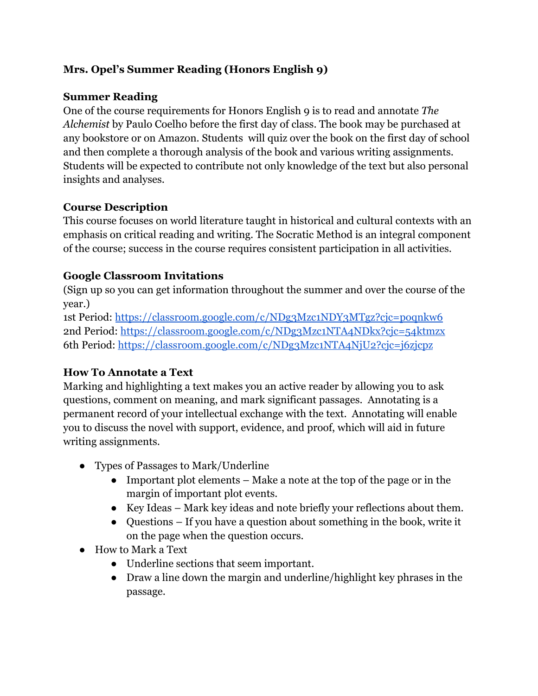## **Mrs. Opel's Summer Reading (Honors English 9)**

### **Summer Reading**

One of the course requirements for Honors English 9 is to read and annotate *The Alchemist* by Paulo Coelho before the first day of class. The book may be purchased at any bookstore or on Amazon. Students will quiz over the book on the first day of school and then complete a thorough analysis of the book and various writing assignments. Students will be expected to contribute not only knowledge of the text but also personal insights and analyses.

### **Course Description**

This course focuses on world literature taught in historical and cultural contexts with an emphasis on critical reading and writing. The Socratic Method is an integral component of the course; success in the course requires consistent participation in all activities.

### **Google Classroom Invitations**

(Sign up so you can get information throughout the summer and over the course of the year.)

1st Period: https://classroom.google.com/c/NDg3Mzc1NDY3MTgz?cjc=poqnkw6 2nd Period: https://classroom.google.com/c/NDg3Mzc1NTA4NDkx?cjc=54ktmzx 6th Period: https://classroom.google.com/c/NDg3Mzc1NTA4NjU2?cjc=j6zjcpz

### **How To Annotate a Text**

Marking and highlighting a text makes you an active reader by allowing you to ask questions, comment on meaning, and mark significant passages. Annotating is a permanent record of your intellectual exchange with the text. Annotating will enable you to discuss the novel with support, evidence, and proof, which will aid in future writing assignments.

- Types of Passages to Mark/Underline
	- Important plot elements Make a note at the top of the page or in the margin of important plot events.
	- Key Ideas Mark key ideas and note briefly your reflections about them.
	- Questions If you have a question about something in the book, write it on the page when the question occurs.
- How to Mark a Text
	- Underline sections that seem important.
	- Draw a line down the margin and underline/highlight key phrases in the passage.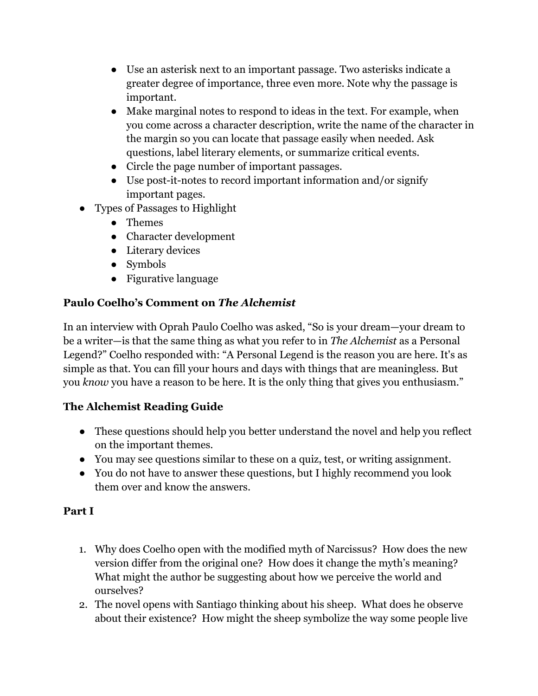- Use an asterisk next to an important passage. Two asterisks indicate a greater degree of importance, three even more. Note why the passage is important.
- Make marginal notes to respond to ideas in the text. For example, when you come across a character description, write the name of the character in the margin so you can locate that passage easily when needed. Ask questions, label literary elements, or summarize critical events.
- Circle the page number of important passages.
- Use post-it-notes to record important information and/or signify important pages.
- Types of Passages to Highlight
	- Themes
	- Character development
	- Literary devices
	- Symbols
	- Figurative language

## **Paulo Coelho's Comment on** *The Alchemist*

In an interview with Oprah Paulo Coelho was asked, "So is your dream—your dream to be a writer—is that the same thing as what you refer to in *The Alchemist* as a Personal Legend?" Coelho responded with: "A Personal Legend is the reason you are here. It's as simple as that. You can fill your hours and days with things that are meaningless. But you *know* you have a reason to be here. It is the only thing that gives you enthusiasm."

# **The Alchemist Reading Guide**

- These questions should help you better understand the novel and help you reflect on the important themes.
- You may see questions similar to these on a quiz, test, or writing assignment.
- You do not have to answer these questions, but I highly recommend you look them over and know the answers.

### **Part I**

- 1. Why does Coelho open with the modified myth of Narcissus? How does the new version differ from the original one? How does it change the myth's meaning? What might the author be suggesting about how we perceive the world and ourselves?
- 2. The novel opens with Santiago thinking about his sheep. What does he observe about their existence? How might the sheep symbolize the way some people live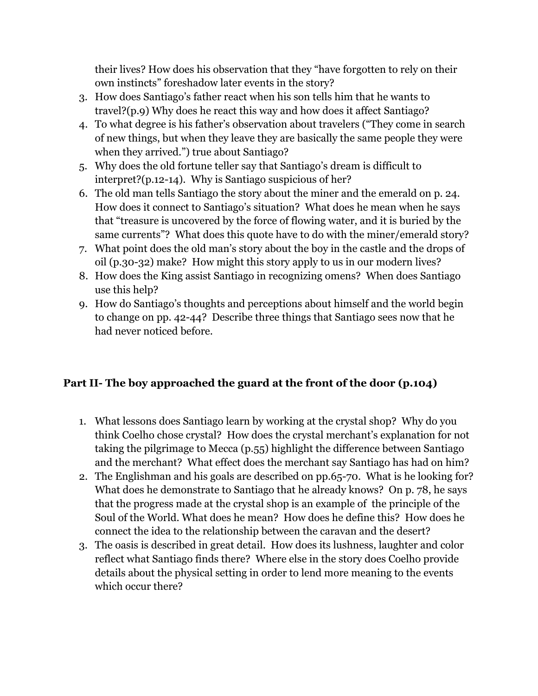their lives? How does his observation that they "have forgotten to rely on their own instincts" foreshadow later events in the story?

- 3. How does Santiago's father react when his son tells him that he wants to travel?(p.9) Why does he react this way and how does it affect Santiago?
- 4. To what degree is his father's observation about travelers ("They come in search of new things, but when they leave they are basically the same people they were when they arrived.") true about Santiago?
- 5. Why does the old fortune teller say that Santiago's dream is difficult to interpret?(p.12-14). Why is Santiago suspicious of her?
- 6. The old man tells Santiago the story about the miner and the emerald on p. 24. How does it connect to Santiago's situation? What does he mean when he says that "treasure is uncovered by the force of flowing water, and it is buried by the same currents"? What does this quote have to do with the miner/emerald story?
- 7. What point does the old man's story about the boy in the castle and the drops of oil (p.30-32) make? How might this story apply to us in our modern lives?
- 8. How does the King assist Santiago in recognizing omens? When does Santiago use this help?
- 9. How do Santiago's thoughts and perceptions about himself and the world begin to change on pp. 42-44? Describe three things that Santiago sees now that he had never noticed before.

# **Part II- The boy approached the guard at the front of the door (p.104)**

- 1. What lessons does Santiago learn by working at the crystal shop? Why do you think Coelho chose crystal? How does the crystal merchant's explanation for not taking the pilgrimage to Mecca (p.55) highlight the difference between Santiago and the merchant? What effect does the merchant say Santiago has had on him?
- 2. The Englishman and his goals are described on pp.65-70. What is he looking for? What does he demonstrate to Santiago that he already knows? On p. 78, he says that the progress made at the crystal shop is an example of the principle of the Soul of the World. What does he mean? How does he define this? How does he connect the idea to the relationship between the caravan and the desert?
- 3. The oasis is described in great detail. How does its lushness, laughter and color reflect what Santiago finds there? Where else in the story does Coelho provide details about the physical setting in order to lend more meaning to the events which occur there?